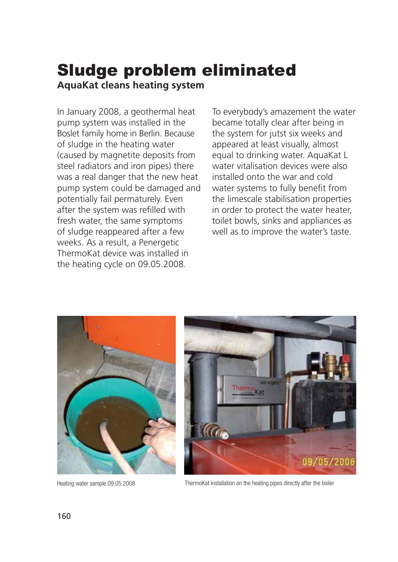## Sludge problem eliminated

**AquaKat cleans heating system**

In January 2008, a geothermal heat pump system was installed in the Boslet family home in Berlin. Because of sludge in the heating water (caused by magnetite deposits from steel radiators and iron pipes) there was a real danger that the new heat pump system could be damaged and potentially fail permaturely. Even after the system was refilled with fresh water, the same symptoms of sludge reappeared after a few weeks. As a result, a Penergetic ThermoKat device was installed in the heating cycle on 09.05.2008.

To everybody's amazement the water became totally clear after being in the system for jutst six weeks and appeared at least visually, almost equal to drinking water. AquaKat L water vitalisation devices were also installed onto the war and cold water systems to fully benefit from the limescale stabilisation properties in order to protect the water heater, toilet bowls, sinks and appliances as well as to improve the water's taste.





Heating water sample 09.05.2008 ThermoKat installation on the heating pipes directly after the boiler